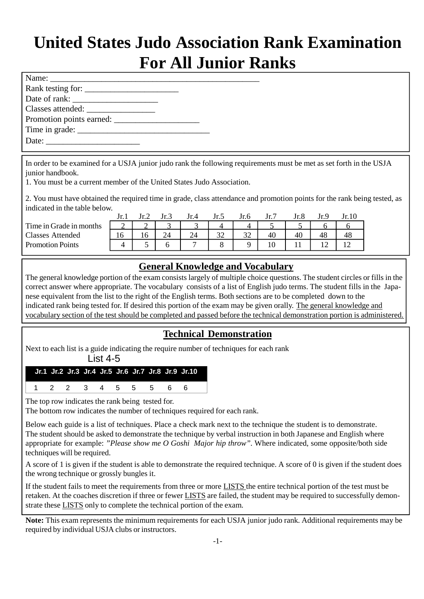# **United States Judo Association Rank Examination For All Junior Ranks**

| Rank testing for: |  |
|-------------------|--|
|                   |  |
| Classes attended: |  |
|                   |  |
|                   |  |
|                   |  |

In order to be examined for a USJA junior judo rank the following requirements must be met as set forth in the USJA junior handbook.

1. You must be a current member of the United States Judo Association.

2. You must have obtained the required time in grade, class attendance and promotion points for the rank being tested, as indicated in the table below.

|                         | Jr. I  | Jr.2   | Jr.3 | Jr.4 | Jr.5           | Jr.6           | Jr.7 |    |    | Jr.10 |
|-------------------------|--------|--------|------|------|----------------|----------------|------|----|----|-------|
| Time in Grade in months | $\sim$ | $\sim$ |      |      |                |                |      |    |    |       |
| <b>Classes Attended</b> |        |        | 24   | 24   | $\mathfrak{D}$ | $\mathfrak{D}$ | 40   | 40 | 48 | 48    |
| <b>Promotion Points</b> |        |        |      |      |                |                |      |    | ∸  |       |

## **General Knowledge and Vocabulary**

The general knowledge portion of the exam consists largely of multiple choice questions. The student circles or fills in the correct answer where appropriate. The vocabulary consists of a list of English judo terms. The student fills in the Japanese equivalent from the list to the right of the English terms. Both sections are to be completed down to the indicated rank being tested for. If desired this portion of the exam may be given orally. The general knowledge and vocabulary section of the test should be completed and passed before the technical demonstration portion is administered.

# **Technical Demonstration**

Next to each list is a guide indicating the require number of techniques for each rank

List 4-5

|                     |  |  |  |  | Jr.1 Jr.2 Jr.3 Jr.4 Jr.5 Jr.6 Jr.7 Jr.8 Jr.9 Jr.10 |
|---------------------|--|--|--|--|----------------------------------------------------|
| 1 2 2 3 4 5 5 5 6 6 |  |  |  |  |                                                    |

The top row indicates the rank being tested for.

The bottom row indicates the number of techniques required for each rank.

Below each guide is a list of techniques. Place a check mark next to the technique the student is to demonstrate. The student should be asked to demonstrate the technique by verbal instruction in both Japanese and English where appropriate for example: *"Please show me O Goshi Major hip throw".* Where indicated, some opposite/both side techniques will be required.

A score of 1 is given if the student is able to demonstrate the required technique. A score of 0 is given if the student does the wrong technique or grossly bungles it.

If the student fails to meet the requirements from three or more LISTS the entire technical portion of the test must be retaken. At the coaches discretion if three or fewer LISTS are failed, the student may be required to successfully demonstrate these LISTS only to complete the technical portion of the exam.

**Note:** This exam represents the minimum requirements for each USJA junior judo rank. Additional requirements may be required by individual USJA clubs or instructors.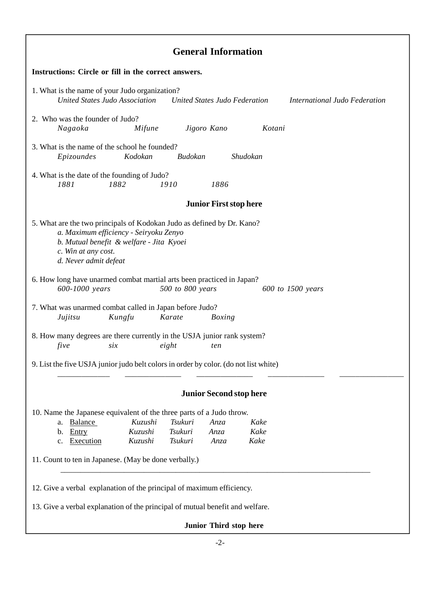| <b>General Information</b>                                                                                                                                                                                                                                                                      |  |  |  |  |  |  |
|-------------------------------------------------------------------------------------------------------------------------------------------------------------------------------------------------------------------------------------------------------------------------------------------------|--|--|--|--|--|--|
| Instructions: Circle or fill in the correct answers.                                                                                                                                                                                                                                            |  |  |  |  |  |  |
| 1. What is the name of your Judo organization?<br>United States Judo Association<br>United States Judo Federation<br>International Judo Federation                                                                                                                                              |  |  |  |  |  |  |
| 2. Who was the founder of Judo?<br>Nagaoka<br>Mifune<br>Jigoro Kano<br>Kotani                                                                                                                                                                                                                   |  |  |  |  |  |  |
| 3. What is the name of the school he founded?<br>Epizoundes<br>Shudokan<br>Kodokan<br>Budokan                                                                                                                                                                                                   |  |  |  |  |  |  |
| 4. What is the date of the founding of Judo?<br>1881<br>1882<br>1910<br>1886                                                                                                                                                                                                                    |  |  |  |  |  |  |
| <b>Junior First stop here</b>                                                                                                                                                                                                                                                                   |  |  |  |  |  |  |
| 5. What are the two principals of Kodokan Judo as defined by Dr. Kano?<br>a. Maximum efficiency - Seiryoku Zenyo<br>b. Mutual benefit & welfare - Jita Kyoei<br>c. Win at any cost.<br>d. Never admit defeat                                                                                    |  |  |  |  |  |  |
| 6. How long have unarmed combat martial arts been practiced in Japan?<br>600-1000 years<br>500 to 800 years<br>600 to 1500 years                                                                                                                                                                |  |  |  |  |  |  |
| 7. What was unarmed combat called in Japan before Judo?<br>Jujitsu<br>Kungfu<br>Karate<br><b>Boxing</b>                                                                                                                                                                                         |  |  |  |  |  |  |
| 8. How many degrees are there currently in the USJA junior rank system?<br>eight<br>five<br>six<br>ten                                                                                                                                                                                          |  |  |  |  |  |  |
| 9. List the five USJA junior judo belt colors in order by color. (do not list white)                                                                                                                                                                                                            |  |  |  |  |  |  |
| <b>Junior Second stop here</b>                                                                                                                                                                                                                                                                  |  |  |  |  |  |  |
| 10. Name the Japanese equivalent of the three parts of a Judo throw.<br>a. Balance<br>Kuzushi<br>Tsukuri<br>Kake<br>Anza<br>Kake<br>Entry<br>Kuzushi<br>Tsukuri<br>Anza<br>b.<br>Execution<br>Kuzushi<br>Tsukuri<br>Kake<br>Anza<br>c.<br>11. Count to ten in Japanese. (May be done verbally.) |  |  |  |  |  |  |
|                                                                                                                                                                                                                                                                                                 |  |  |  |  |  |  |
| 12. Give a verbal explanation of the principal of maximum efficiency.<br>13. Give a verbal explanation of the principal of mutual benefit and welfare.                                                                                                                                          |  |  |  |  |  |  |
| Junior Third stop here                                                                                                                                                                                                                                                                          |  |  |  |  |  |  |
|                                                                                                                                                                                                                                                                                                 |  |  |  |  |  |  |

Г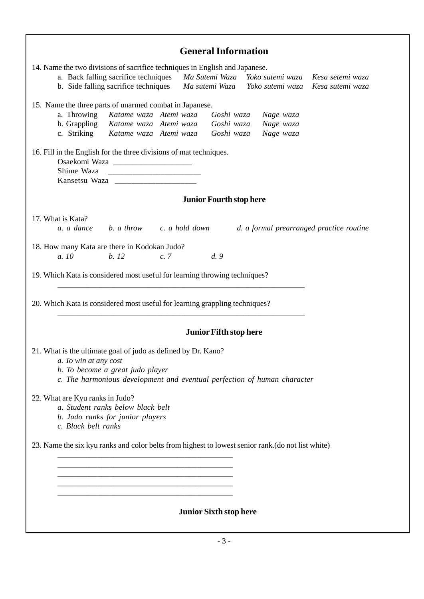| <b>General Information</b>                                                                                                                                                                                                                                       |
|------------------------------------------------------------------------------------------------------------------------------------------------------------------------------------------------------------------------------------------------------------------|
| 14. Name the two divisions of sacrifice techniques in English and Japanese.<br>a. Back falling sacrifice techniques Ma Sutemi Waza Yoko sutemi waza Kesa setemi waza<br>b. Side falling sacrifice techniques Ma sutemi Waza Yoko sutemi waza<br>Kesa sutemi waza |
| 15. Name the three parts of unarmed combat in Japanese.<br>a. Throwing Katame waza Atemi waza<br>Goshi waza<br>Nage waza<br>b. Grappling Katame waza Atemi waza<br>Nage waza<br>Goshi waza<br>c. Striking Katame waza Atemi waza<br>Nage waza<br>Goshi waza      |
| 16. Fill in the English for the three divisions of mat techniques.<br>Shime Waza<br>Kansetsu Waza                                                                                                                                                                |
| <b>Junior Fourth stop here</b>                                                                                                                                                                                                                                   |
| 17. What is Kata?<br>b. a throw c. a hold down<br>a. a dance<br>d. a formal prearranged practice routine                                                                                                                                                         |
| 18. How many Kata are there in Kodokan Judo?<br>b.12<br>d.9<br>a. 10<br>c.7                                                                                                                                                                                      |
| 19. Which Kata is considered most useful for learning throwing techniques?                                                                                                                                                                                       |
| 20. Which Kata is considered most useful for learning grappling techniques?                                                                                                                                                                                      |
| <b>Junior Fifth stop here</b>                                                                                                                                                                                                                                    |
| 21. What is the ultimate goal of judo as defined by Dr. Kano?<br>a. To win at any cost<br>b. To become a great judo player<br>c. The harmonious development and eventual perfection of human character                                                           |
| 22. What are Kyu ranks in Judo?<br>a. Student ranks below black belt<br>b. Judo ranks for junior players<br>c. Black belt ranks                                                                                                                                  |
| 23. Name the six kyu ranks and color belts from highest to lowest senior rank. (do not list white)                                                                                                                                                               |
|                                                                                                                                                                                                                                                                  |
|                                                                                                                                                                                                                                                                  |
| <b>Junior Sixth stop here</b>                                                                                                                                                                                                                                    |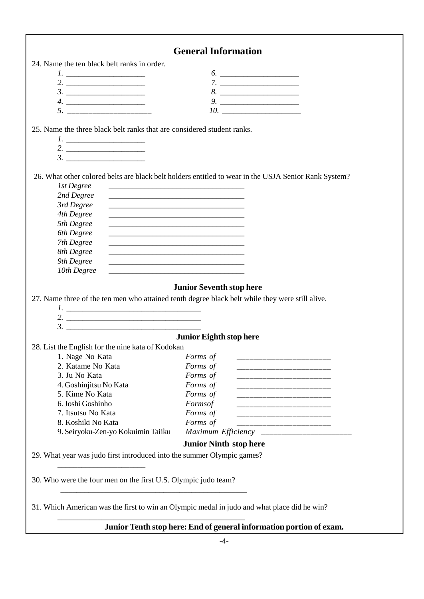|                                                                        | <b>General Information</b>                                                                                           |
|------------------------------------------------------------------------|----------------------------------------------------------------------------------------------------------------------|
| 24. Name the ten black belt ranks in order.                            |                                                                                                                      |
|                                                                        |                                                                                                                      |
|                                                                        |                                                                                                                      |
|                                                                        | 8.                                                                                                                   |
|                                                                        | $9.$                                                                                                                 |
| 5. ________________________                                            |                                                                                                                      |
|                                                                        |                                                                                                                      |
| 25. Name the three black belt ranks that are considered student ranks. |                                                                                                                      |
|                                                                        |                                                                                                                      |
|                                                                        |                                                                                                                      |
|                                                                        |                                                                                                                      |
|                                                                        | 26. What other colored belts are black belt holders entitled to wear in the USJA Senior Rank System?                 |
| 1st Degree                                                             |                                                                                                                      |
| 2nd Degree                                                             |                                                                                                                      |
| 3rd Degree                                                             |                                                                                                                      |
| 4th Degree                                                             | <u> 1980 - Johann John Stone, mars eta bat eta bat eta bat eta bat ez erroman ez erroman ez erroman ez erroman e</u> |
| 5th Degree                                                             |                                                                                                                      |
| 6th Degree                                                             |                                                                                                                      |
| 7th Degree                                                             |                                                                                                                      |
| 8th Degree                                                             |                                                                                                                      |
| 9th Degree                                                             | <u> 1989 - Johann John Stoff, deutscher Stoffen und der Stoffen und der Stoffen und der Stoffen und der Stoffen</u>  |
| 10th Degree                                                            |                                                                                                                      |
|                                                                        |                                                                                                                      |
|                                                                        | <b>Junior Seventh stop here</b>                                                                                      |
|                                                                        | 27. Name three of the ten men who attained tenth degree black belt while they were still alive.                      |
|                                                                        |                                                                                                                      |
|                                                                        |                                                                                                                      |
|                                                                        |                                                                                                                      |
|                                                                        | <b>Junior Eighth stop here</b>                                                                                       |
| 28. List the English for the nine kata of Kodokan                      |                                                                                                                      |
| 1. Nage No Kata                                                        | Forms of                                                                                                             |
| 2. Katame No Kata                                                      | Forms of                                                                                                             |
| 3. Ju No Kata                                                          | Forms of<br>_____________________                                                                                    |
| 4. Goshinjitsu No Kata                                                 | Forms of                                                                                                             |
| 5. Kime No Kata                                                        | Forms of                                                                                                             |
| 6. Joshi Goshinho                                                      | Formsof<br>______________________________                                                                            |
| 7. Itsutsu No Kata                                                     | Forms of<br>_____________________________                                                                            |
| 8. Koshiki No Kata                                                     | Forms of<br>________________________                                                                                 |
| 9. Seiryoku-Zen-yo Kokuimin Taiiku                                     |                                                                                                                      |
|                                                                        | <b>Junior Ninth stop here</b>                                                                                        |
| 29. What year was judo first introduced into the summer Olympic games? |                                                                                                                      |
|                                                                        |                                                                                                                      |
| 30. Who were the four men on the first U.S. Olympic judo team?         |                                                                                                                      |
|                                                                        | 31. Which American was the first to win an Olympic medal in judo and what place did he win?                          |
|                                                                        |                                                                                                                      |
|                                                                        | Junior Tenth stop here: End of general information portion of exam.                                                  |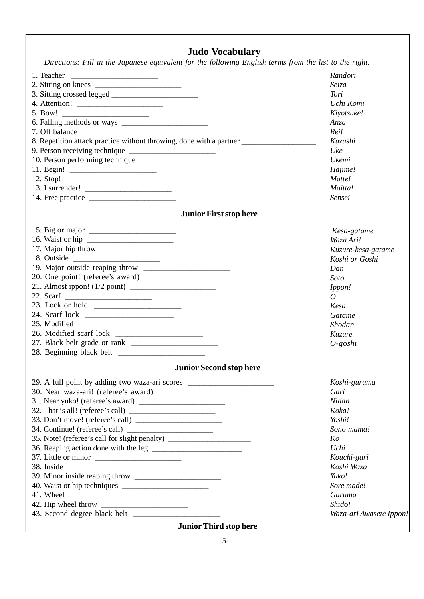# **Judo Vocabulary**

 *Directions: Fill in the Japanese equivalent for the following English terms from the list to the right.*

| 1. Teacher $\qquad$                                                                                                                                                       | Randori                 |
|---------------------------------------------------------------------------------------------------------------------------------------------------------------------------|-------------------------|
| 2. Sitting on knees $\frac{1}{2}$                                                                                                                                         | Seiza                   |
| 3. Sitting crossed legged                                                                                                                                                 | Tori                    |
|                                                                                                                                                                           | Uchi Komi               |
|                                                                                                                                                                           | Kiyotsuke!              |
|                                                                                                                                                                           | Anza                    |
|                                                                                                                                                                           | Rei!                    |
| 8. Repetition attack practice without throwing, done with a partner ________________________________                                                                      | Kuzushi                 |
|                                                                                                                                                                           | Uke                     |
|                                                                                                                                                                           | Ukemi                   |
|                                                                                                                                                                           | Hajime!                 |
|                                                                                                                                                                           | Matte!                  |
| 13. I surrender! $\sqrt{\frac{2}{1-\frac{1}{2}} \cdot \frac{1}{2-\frac{1}{2}} \cdot \frac{1}{2-\frac{1}{2}} \cdot \frac{1}{2-\frac{1}{2}} \cdot \frac{1}{2-\frac{1}{2}}}$ | Maitta!                 |
|                                                                                                                                                                           | Sensei                  |
|                                                                                                                                                                           |                         |
| <b>Junior First stop here</b>                                                                                                                                             |                         |
|                                                                                                                                                                           | Kesa-gatame             |
|                                                                                                                                                                           | Waza Ari!               |
|                                                                                                                                                                           | Kuzure-kesa-gatame      |
|                                                                                                                                                                           | Koshi or Goshi          |
|                                                                                                                                                                           | Dan                     |
|                                                                                                                                                                           | Soto                    |
|                                                                                                                                                                           | Ippon!                  |
|                                                                                                                                                                           | $\overline{O}$          |
|                                                                                                                                                                           | Kesa                    |
|                                                                                                                                                                           | Gatame                  |
|                                                                                                                                                                           | Shodan                  |
|                                                                                                                                                                           | Kuzure                  |
|                                                                                                                                                                           | $O$ -goshi              |
|                                                                                                                                                                           |                         |
| <b>Junior Second stop here</b>                                                                                                                                            |                         |
| 29. A full point by adding two waza-ari scores __________________________________                                                                                         | Koshi-guruma            |
|                                                                                                                                                                           | Gari                    |
|                                                                                                                                                                           | Nidan                   |
|                                                                                                                                                                           | Koka!                   |
| 33. Don't move! (referee's call)                                                                                                                                          | Yoshi!                  |
|                                                                                                                                                                           | Sono mama!              |
| 35. Note! (referee's call for slight penalty) __________________________________                                                                                          | Ko                      |
|                                                                                                                                                                           | Uchi                    |
|                                                                                                                                                                           | Kouchi-gari             |
| 38. Inside                                                                                                                                                                | Koshi Waza              |
|                                                                                                                                                                           | Yuko!                   |
|                                                                                                                                                                           | Sore made!              |
|                                                                                                                                                                           | Guruma                  |
|                                                                                                                                                                           | Shido!                  |
|                                                                                                                                                                           | Waza-ari Awasete Ippon! |
| <b>Junior Third stop here</b>                                                                                                                                             |                         |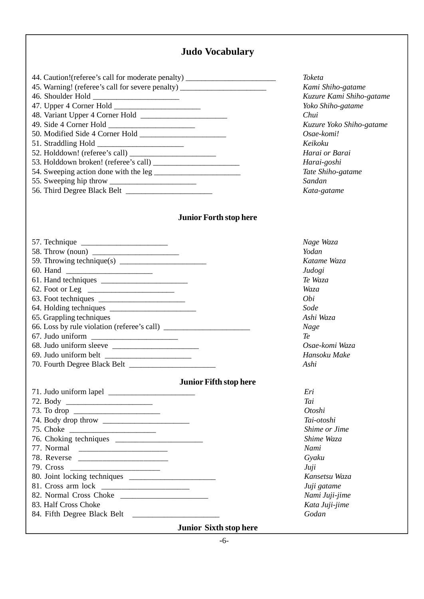### **Judo Vocabulary**

| 44. Caution!(referee's call for moderate penalty) ______________________________ |  |
|----------------------------------------------------------------------------------|--|
| 45. Warning! (referee's call for severe penalty) _______________________________ |  |
|                                                                                  |  |
|                                                                                  |  |
|                                                                                  |  |
|                                                                                  |  |
|                                                                                  |  |
|                                                                                  |  |
| 52. Holddown! (referee's call)                                                   |  |
|                                                                                  |  |
|                                                                                  |  |
|                                                                                  |  |
|                                                                                  |  |
|                                                                                  |  |

#### **Junior Forth stop here**

| 65. Grappling techniques                    |
|---------------------------------------------|
| 66. Loss by rule violation (referee's call) |
|                                             |
|                                             |
|                                             |
|                                             |
|                                             |

#### **Junior Fifth stop here**

| 72. Body             |
|----------------------|
| 73. To drop          |
|                      |
|                      |
|                      |
|                      |
| 78. Reverse          |
|                      |
|                      |
|                      |
|                      |
| 83. Half Cross Choke |
|                      |

84. Fifth Degree Black Belt

**Junior Sixth stop here**

*Toketa Kami Shiho-gatame Kuzure Kami Shiho-gatame Yoko Shiho-gatame Chui Kuzure Yoko Shiho-gatame Osae-komi! Keikoku Harai or Barai Harai-goshi Tate Shiho-gatame Sandan Kata-gatame*

*Yodan Katame Waza Judogi Te Waza Waza Obi Sode Ashi Waza Nage Te Osae-komi Waza Hansoku Make Ashi*

*Nage Waza*

*Eri Tai Otoshi Tai-otoshi Shime or Jime Shime Waza Nami Gyaku Juji Kansetsu Waza Juji gatame Nami Juji-jime Kata Juji-jime Godan*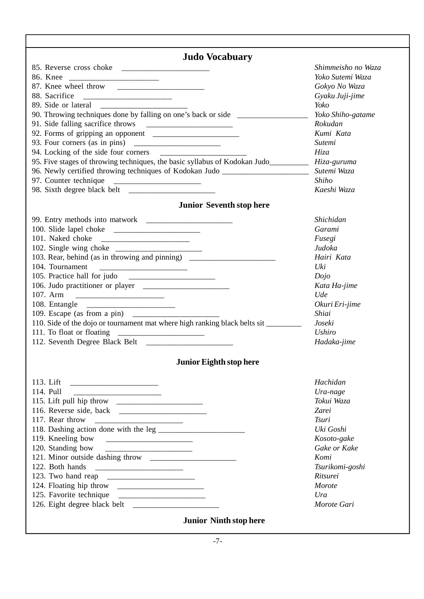| <b>Judo Vocabuary</b>                                                                     | Shimmeisho no Waza |
|-------------------------------------------------------------------------------------------|--------------------|
| 86. Knee                                                                                  | Yoko Sutemi Waza   |
|                                                                                           | Gokyo No Waza      |
| 88. Sacrifice                                                                             | Gyaku Juji-jime    |
|                                                                                           | Yoko               |
| 90. Throwing techniques done by falling on one's back or side __________________          | Yoko Shiho-gatame  |
|                                                                                           | Rokudan            |
|                                                                                           | Kumi Kata          |
|                                                                                           | Sutemi             |
|                                                                                           | Hiza               |
|                                                                                           |                    |
| 95. Five stages of throwing techniques, the basic syllabus of Kodokan Judo<br>Hiza-guruma |                    |
| 96. Newly certified throwing techniques of Kodokan Judo ________________________          | Sutemi Waza        |
|                                                                                           | Shiho              |
|                                                                                           | Kaeshi Waza        |
| <b>Junior Seventh stop here</b>                                                           |                    |
|                                                                                           | Shichidan          |
|                                                                                           | Garami             |
| 101. Naked choke                                                                          | Fusegi             |
|                                                                                           | Judoka             |
| 103. Rear, behind (as in throwing and pinning) __________________________________         | Hairi Kata         |
|                                                                                           | Uki                |
|                                                                                           | Dojo               |
| 106. Judo practitioner or player                                                          | Kata Ha-jime       |
| 107. Arm                                                                                  | Ude                |
|                                                                                           | Okuri Eri-jime     |
|                                                                                           | Shiai              |
| 110. Side of the dojo or tournament mat where high ranking black belts sit                | Joseki             |
| 111. To float or floating                                                                 | <b>Ushiro</b>      |
|                                                                                           | Hadaka-jime        |
|                                                                                           |                    |
| Junior Eighth stop here                                                                   |                    |
|                                                                                           | Hachidan           |
| 114. Pull                                                                                 | Ura-nage           |
| 115. Lift pull hip throw                                                                  | Tokui Waza         |
|                                                                                           | Zarei              |
|                                                                                           | <b>Tsuri</b>       |
|                                                                                           | Uki Goshi          |
|                                                                                           | Kosoto-gake        |
|                                                                                           | Gake or Kake       |
|                                                                                           | Komi               |
| 122. Both hands                                                                           |                    |
|                                                                                           | Tsurikomi-goshi    |
|                                                                                           | Ritsurei           |
|                                                                                           | Morote             |
|                                                                                           | Ura                |
|                                                                                           | Morote Gari        |
| <b>Junior Ninth stop here</b>                                                             |                    |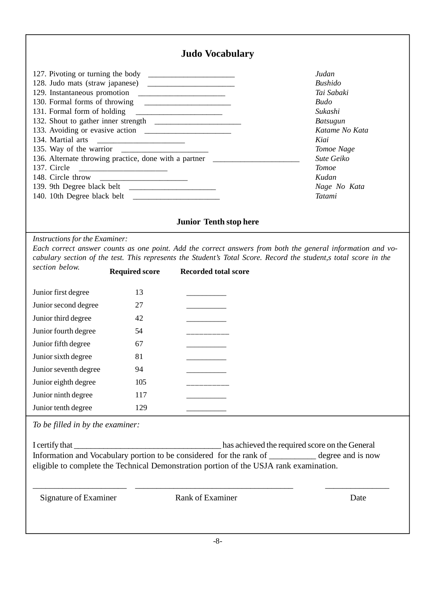|                                                                                                 |                       | <b>Judo Vocabulary</b>                                                                                                                                                                                                                      |                                                                                                                                                                                                    |
|-------------------------------------------------------------------------------------------------|-----------------------|---------------------------------------------------------------------------------------------------------------------------------------------------------------------------------------------------------------------------------------------|----------------------------------------------------------------------------------------------------------------------------------------------------------------------------------------------------|
| 129. Instantaneous promotion<br>131. Formal form of holding<br>134. Martial arts<br>137. Circle |                       | <u> Alexandria de la construcción de la construcción de la construcción de la construcción de la construcción de l</u><br>136. Alternate throwing practice, done with a partner __________________________<br><b>Junior Tenth stop here</b> | Judan<br><b>Bushido</b><br>Tai Sabaki<br><b>Budo</b><br>Sukashi<br><b>Batsugun</b><br>Katame No Kata<br>Kiai<br>Tomoe Nage<br>Sute Geiko<br><b>Tomoe</b><br>Kudan<br>Nage No Kata<br><b>Tatami</b> |
| Instructions for the Examiner:                                                                  |                       |                                                                                                                                                                                                                                             | Each correct answer counts as one point. Add the correct answers from both the general information and vo-                                                                                         |
|                                                                                                 |                       |                                                                                                                                                                                                                                             | cabulary section of the test. This represents the Student's Total Score. Record the student, stotal score in the                                                                                   |
| section below.                                                                                  | <b>Required score</b> | <b>Recorded total score</b>                                                                                                                                                                                                                 |                                                                                                                                                                                                    |
| Junior first degree                                                                             | 13                    |                                                                                                                                                                                                                                             |                                                                                                                                                                                                    |
| Junior second degree                                                                            | 27                    | ________                                                                                                                                                                                                                                    |                                                                                                                                                                                                    |
| Junior third degree                                                                             | 42                    |                                                                                                                                                                                                                                             |                                                                                                                                                                                                    |
| Junior fourth degree                                                                            | 54                    | __________                                                                                                                                                                                                                                  |                                                                                                                                                                                                    |
| Junior fifth degree                                                                             | 67                    |                                                                                                                                                                                                                                             |                                                                                                                                                                                                    |
| Junior sixth degree                                                                             | 81                    |                                                                                                                                                                                                                                             |                                                                                                                                                                                                    |
| Junior seventh degree                                                                           | 94                    |                                                                                                                                                                                                                                             |                                                                                                                                                                                                    |
| Junior eighth degree                                                                            | 105                   |                                                                                                                                                                                                                                             |                                                                                                                                                                                                    |
| Junior ninth degree                                                                             | 117                   |                                                                                                                                                                                                                                             |                                                                                                                                                                                                    |
| Junior tenth degree                                                                             | 129                   |                                                                                                                                                                                                                                             |                                                                                                                                                                                                    |

*To be filled in by the examiner:*

I certify that \_\_\_\_\_\_\_\_\_\_\_\_\_\_\_\_\_\_\_\_\_\_\_\_\_\_\_\_\_\_\_\_\_\_\_ has achieved the required score on the General Information and Vocabulary portion to be considered for the rank of \_\_\_\_\_\_\_\_\_\_\_\_ degree and is now eligible to complete the Technical Demonstration portion of the USJA rank examination.

Signature of Examiner Rank of Examiner Date

\_\_\_\_\_\_\_\_\_\_\_\_\_\_\_\_\_\_\_\_\_\_ \_\_\_\_\_\_\_\_\_\_\_\_\_\_\_\_\_\_\_\_\_\_\_\_\_\_\_\_\_\_\_\_\_\_\_\_\_ \_\_\_\_\_\_\_\_\_\_\_\_\_\_\_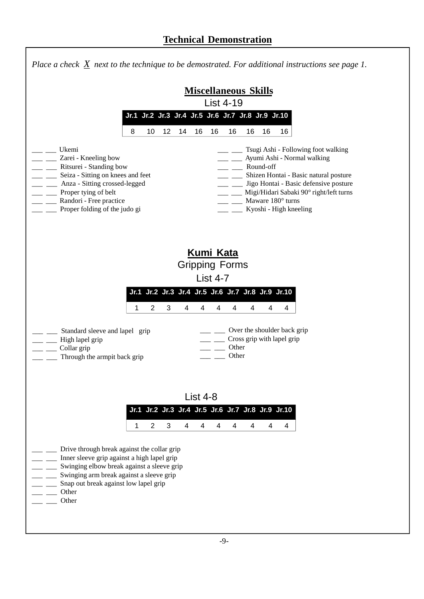|                                                                                                                                                                                                                                                                | Place a check $X$ next to the technique to be demostrated. For additional instructions see page 1.                                                                                                                                                          |
|----------------------------------------------------------------------------------------------------------------------------------------------------------------------------------------------------------------------------------------------------------------|-------------------------------------------------------------------------------------------------------------------------------------------------------------------------------------------------------------------------------------------------------------|
|                                                                                                                                                                                                                                                                | <b>Miscellaneous Skills</b><br><b>List 4-19</b>                                                                                                                                                                                                             |
|                                                                                                                                                                                                                                                                | Jr.1 Jr.2 Jr.3 Jr.4 Jr.5 Jr.6 Jr.7 Jr.8 Jr.9 Jr.10                                                                                                                                                                                                          |
| 8<br>12<br>10                                                                                                                                                                                                                                                  | 14<br>16<br>16<br>16<br>16<br>16<br>16                                                                                                                                                                                                                      |
| Ukemi<br>Zarei - Kneeling bow<br>Ritsurei - Standing bow<br>Seiza - Sitting on knees and feet<br>Anza - Sitting crossed-legged<br>Proper tying of belt<br>Randori - Free practice<br>Proper folding of the judo gi                                             | Tsugi Ashi - Following foot walking<br>Ayumi Ashi - Normal walking<br>Round-off<br>Shizen Hontai - Basic natural posture<br>Jigo Hontai - Basic defensive posture<br>Migi/Hidari Sabaki 90° right/left turns<br>Maware 180° turns<br>Kyoshi - High kneeling |
| 2<br>3<br>1<br>Standard sleeve and lapel grip<br>High lapel grip                                                                                                                                                                                               | <b>Kumi Kata</b><br><b>Gripping Forms</b><br>List $4-7$<br>Jr.1 Jr.2 Jr.3 Jr.4 Jr.5 Jr.6 Jr.7 Jr.8 Jr.9 Jr.10<br>4<br>4<br>4<br>4<br>4<br>4<br>4<br>Over the shoulder back grip<br>Cross grip with lapel grip                                               |
| Collar grip<br>Through the armpit back grip                                                                                                                                                                                                                    | Other<br>Other                                                                                                                                                                                                                                              |
| 2<br>3<br>1<br>Drive through break against the collar grip<br>Inner sleeve grip against a high lapel grip<br>Swinging elbow break against a sleeve grip<br>Swinging arm break against a sleeve grip<br>Snap out break against low lapel grip<br>Other<br>Other | List $4-8$<br>Jr.1 Jr.2 Jr.3 Jr.4 Jr.5 Jr.6 Jr.7 Jr.8 Jr.9 Jr.10<br>$\overline{4}$<br>$\overline{4}$<br>4<br>4<br>4<br>4<br>4                                                                                                                               |
|                                                                                                                                                                                                                                                                |                                                                                                                                                                                                                                                             |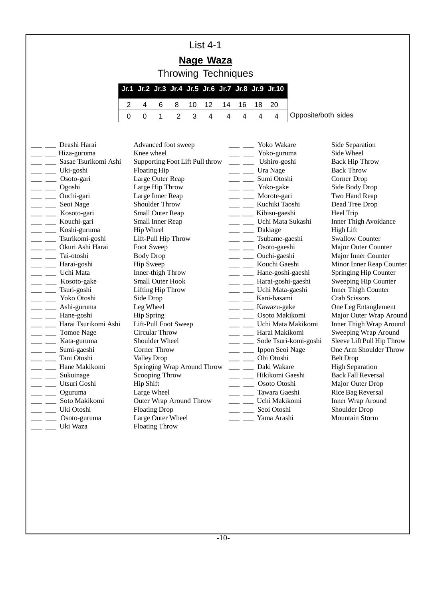# List 4-1

# **Nage Waza**

Throwing Techniques

|                           |  |  |  | Jr.1 Jr.2 Jr.3 Jr.4 Jr.5 Jr.6 Jr.7 Jr.8 Jr.9 Jr.10 |
|---------------------------|--|--|--|----------------------------------------------------|
| 2 4 6 8 10 12 14 16 18 20 |  |  |  |                                                    |
|                           |  |  |  |                                                    |

|                                   | Deashi Harai                    | Advanced foot sweep             |                                                                                                                                                                                                                                                                                                                                                                                                                       | Yoko Wakare           | Side Separation              |
|-----------------------------------|---------------------------------|---------------------------------|-----------------------------------------------------------------------------------------------------------------------------------------------------------------------------------------------------------------------------------------------------------------------------------------------------------------------------------------------------------------------------------------------------------------------|-----------------------|------------------------------|
|                                   | _ __ Hiza-guruma                | Knee wheel                      |                                                                                                                                                                                                                                                                                                                                                                                                                       | Yoko-guruma           | Side Wheel                   |
|                                   | Sasae Tsurikomi Ashi            | Supporting Foot Lift Pull throw | $\frac{1}{1-\frac{1}{1-\frac{1}{1-\frac{1}{1-\frac{1}{1-\frac{1}{1-\frac{1}{1-\frac{1}{1-\frac{1}{1-\frac{1}{1-\frac{1}{1-\frac{1}{1-\frac{1}{1-\frac{1}{1-\frac{1}{1-\frac{1}{1-\frac{1}{1-\frac{1}{1-\frac{1}{1-\frac{1}{1-\frac{1}{1-\frac{1}{1-\frac{1}{1-\frac{1}{1-\frac{1}{1-\frac{1}{1-\frac{1}{1-\frac{1}{1-\frac{1}{1-\frac{1}{1-\frac{1}{1-\frac{1}{1-\frac{1}{1-\frac{1}{1-\frac{1}{1-\frac{1}{1-\frac{1$ | Ushiro-goshi          | <b>Back Hip Throw</b>        |
| $\overline{\phantom{a}}$          | Uki-goshi                       | Floating Hip                    | $\frac{1}{1}$                                                                                                                                                                                                                                                                                                                                                                                                         | Ura Nage              | <b>Back Throw</b>            |
|                                   | $\frac{1}{\sqrt{2}}$ Osoto-gari | Large Outer Reap                | $\overline{\phantom{a}}$                                                                                                                                                                                                                                                                                                                                                                                              | Sumi Otoshi           | Corner Drop                  |
| <b>Contract Contract</b>          | Ogoshi                          | Large Hip Throw                 | $\frac{1}{2}$ and $\frac{1}{2}$                                                                                                                                                                                                                                                                                                                                                                                       | Yoko-gake             | Side Body Drop               |
|                                   | __ Ouchi-gari                   | Large Inner Reap                | $\frac{1}{1}$                                                                                                                                                                                                                                                                                                                                                                                                         | Morote-gari           | Two Hand Reap                |
|                                   | Seoi Nage                       | Shoulder Throw                  | $\overline{\phantom{a}}$                                                                                                                                                                                                                                                                                                                                                                                              | Kuchiki Taoshi        | Dead Tree Drop               |
|                                   | __ __ Kosoto-gari               | <b>Small Outer Reap</b>         | $\overline{\phantom{a}}$                                                                                                                                                                                                                                                                                                                                                                                              | Kibisu-gaeshi         | Heel Trip                    |
|                                   | __ __ Kouchi-gari               | Small Inner Reap                | $\frac{1}{2}$ and $\frac{1}{2}$                                                                                                                                                                                                                                                                                                                                                                                       | Uchi Mata Sukashi     | <b>Inner Thigh Avoidance</b> |
|                                   | ___ ___ Koshi-guruma            | Hip Wheel                       | <b>Contract Contract</b>                                                                                                                                                                                                                                                                                                                                                                                              | Dakiage               | <b>High Lift</b>             |
|                                   | _ __ Tsurikomi-goshi            | Lift-Pull Hip Throw             | $\frac{1}{2}$                                                                                                                                                                                                                                                                                                                                                                                                         | Tsubame-gaeshi        | <b>Swallow Counter</b>       |
|                                   | Okuri Ashi Harai                | Foot Sweep                      | $\frac{1}{2}$ and $\frac{1}{2}$                                                                                                                                                                                                                                                                                                                                                                                       | Osoto-gaeshi          | Major Outer Counter          |
|                                   | _ __ Tai-otoshi                 | <b>Body Drop</b>                | $\frac{1}{1}$                                                                                                                                                                                                                                                                                                                                                                                                         | Ouchi-gaeshi          | Major Inner Counter          |
| $=$ $-$                           | Harai-goshi                     | <b>Hip Sweep</b>                | <b>Contract Contract</b>                                                                                                                                                                                                                                                                                                                                                                                              | Kouchi Gaeshi         | Minor Inner Reap Counter     |
|                                   | __ __ Uchi Mata                 | Inner-thigh Throw               | $\frac{1}{1-\frac{1}{1-\frac{1}{1-\frac{1}{1-\frac{1}{1-\frac{1}{1-\frac{1}{1-\frac{1}{1-\frac{1}{1-\frac{1}{1-\frac{1}{1-\frac{1}{1-\frac{1}{1-\frac{1}{1-\frac{1}{1-\frac{1}{1-\frac{1}{1-\frac{1}{1-\frac{1}{1-\frac{1}{1-\frac{1}{1-\frac{1}{1-\frac{1}{1-\frac{1}{1-\frac{1}{1-\frac{1}{1-\frac{1}{1-\frac{1}{1-\frac{1}{1-\frac{1}{1-\frac{1}{1-\frac{1}{1-\frac{1}{1-\frac{1}{1-\frac{1}{1-\frac{1}{1-\frac{1$ | Hane-goshi-gaeshi     | Springing Hip Counter        |
|                                   | __ ___ Kosoto-gake              | Small Outer Hook                | $\frac{1}{1}$                                                                                                                                                                                                                                                                                                                                                                                                         | Harai-goshi-gaeshi    | Sweeping Hip Counter         |
|                                   | $\frac{1}{2}$ Tsuri-goshi       | Lifting Hip Throw               |                                                                                                                                                                                                                                                                                                                                                                                                                       | Uchi Mata-gaeshi      | <b>Inner Thigh Counter</b>   |
|                                   | - Yoko Otoshi                   | Side Drop                       | $\overline{\phantom{a}}$                                                                                                                                                                                                                                                                                                                                                                                              | Kani-basami           | <b>Crab Scissors</b>         |
|                                   | __ __ Ashi-guruma               | Leg Wheel                       | $\frac{1}{1-\frac{1}{1-\frac{1}{1-\frac{1}{1-\frac{1}{1-\frac{1}{1-\frac{1}{1-\frac{1}{1-\frac{1}{1-\frac{1}{1-\frac{1}{1-\frac{1}{1-\frac{1}{1-\frac{1}{1-\frac{1}{1-\frac{1}{1-\frac{1}{1-\frac{1}{1-\frac{1}{1-\frac{1}{1-\frac{1}{1-\frac{1}{1-\frac{1}{1-\frac{1}{1-\frac{1}{1-\frac{1}{1-\frac{1}{1-\frac{1}{1-\frac{1}{1-\frac{1}{1-\frac{1}{1-\frac{1}{1-\frac{1}{1-\frac{1}{1-\frac{1}{1-\frac{1}{1-\frac{1$ | Kawazu-gake           | One Leg Entanglement         |
|                                   | __ ___ Hane-goshi               | <b>Hip Spring</b>               | <u>and the sta</u>                                                                                                                                                                                                                                                                                                                                                                                                    | Osoto Makikomi        | Major Outer Wrap Around      |
|                                   | Harai Tsurikomi Ashi            | Lift-Pull Foot Sweep            | $\frac{1}{2}$ and $\frac{1}{2}$                                                                                                                                                                                                                                                                                                                                                                                       | Uchi Mata Makikomi    | Inner Thigh Wrap Around      |
|                                   | ____ Tomoe Nage                 | Circular Throw                  | $\frac{1}{2}$ and $\frac{1}{2}$                                                                                                                                                                                                                                                                                                                                                                                       | Harai Makikomi        | Sweeping Wrap Around         |
| $\overline{a}$ and $\overline{a}$ | Kata-guruma                     | Shoulder Wheel                  | $\frac{1}{2}$ and $\frac{1}{2}$                                                                                                                                                                                                                                                                                                                                                                                       | Sode Tsuri-komi-goshi | Sleeve Lift Pull Hip Throw   |
| $\frac{1}{2}$ and $\frac{1}{2}$   | Sumi-gaeshi                     | Corner Throw                    | $\frac{1}{2}$                                                                                                                                                                                                                                                                                                                                                                                                         | Ippon Seoi Nage       | One Arm Shoulder Throw       |
|                                   | _ _ Tani Otoshi                 | <b>Valley Drop</b>              | $\overline{\phantom{a}}$                                                                                                                                                                                                                                                                                                                                                                                              | Obi Otoshi            | <b>Belt Drop</b>             |
|                                   | __ ___ Hane Makikomi            | Springing Wrap Around Throw     |                                                                                                                                                                                                                                                                                                                                                                                                                       | ___ __ Daki Wakare    | <b>High Separation</b>       |
|                                   | Sukuinage                       | Scooping Throw                  | $\sim$                                                                                                                                                                                                                                                                                                                                                                                                                | Hikikomi Gaeshi       | <b>Back Fall Reversal</b>    |
|                                   | Utsuri Goshi                    | <b>Hip Shift</b>                | $\overline{\phantom{a}}$                                                                                                                                                                                                                                                                                                                                                                                              | Osoto Otoshi          | Major Outer Drop             |
| $=$ $=$                           | Oguruma                         | Large Wheel                     | $\overline{\phantom{a}}$                                                                                                                                                                                                                                                                                                                                                                                              | Tawara Gaeshi         | Rice Bag Reversal            |
|                                   | Soto Makikomi                   | Outer Wrap Around Throw         | $\frac{1}{1}$                                                                                                                                                                                                                                                                                                                                                                                                         | Uchi Makikomi         | Inner Wrap Around            |
| $\frac{1}{2}$                     | Uki Otoshi                      | <b>Floating Drop</b>            | $\overline{\phantom{a}}$                                                                                                                                                                                                                                                                                                                                                                                              | Seoi Otoshi           | Shoulder Drop                |
|                                   | Osoto-guruma                    | Large Outer Wheel               |                                                                                                                                                                                                                                                                                                                                                                                                                       | Yama Arashi           | <b>Mountain Storm</b>        |
|                                   | Uki Waza                        | <b>Floating Throw</b>           |                                                                                                                                                                                                                                                                                                                                                                                                                       |                       |                              |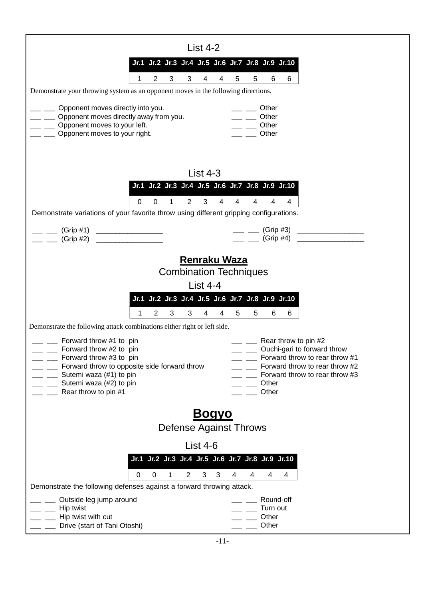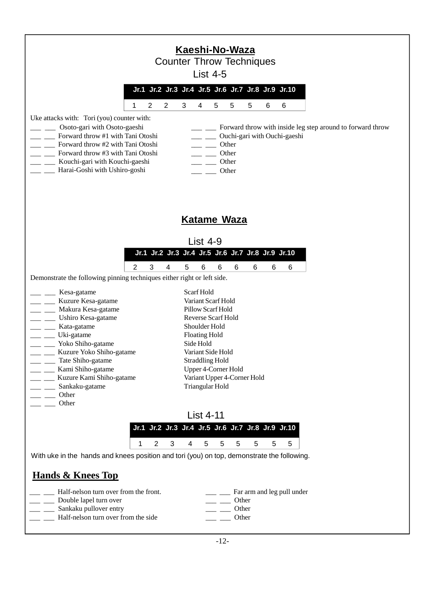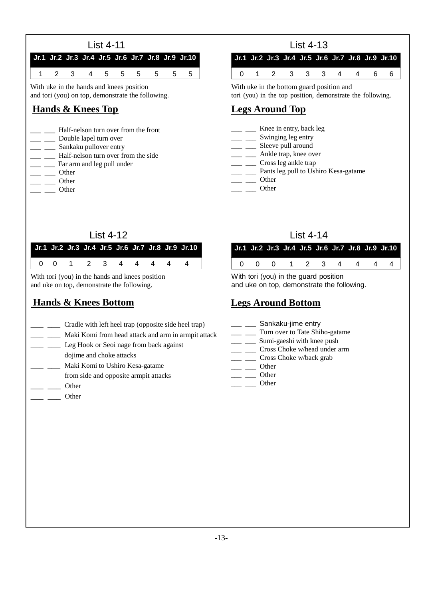



With uke in the bottom guard position and tori (you) in the top position, demonstrate the following.

### **Legs Around Top**

- *\_\_\_ \_\_\_* Knee in entry, back leg
- *\_\_\_ \_\_\_* Swinging leg entry
- *\_\_\_ \_\_\_* Sleeve pull around
- *\_\_\_ \_\_\_* Ankle trap, knee over
- *\_\_\_ \_\_\_* Cross leg ankle trap
- *\_\_\_ \_\_\_* Pants leg pull to Ushiro Kesa-gatame
- *\_\_\_ \_\_\_* Other
- *\_\_\_ \_\_\_* Other

### List 4-12

|                     |  |  |  |  | Jr.1 Jr.2 Jr.3 Jr.4 Jr.5 Jr.6 Jr.7 Jr.8 Jr.9 Jr.10 |
|---------------------|--|--|--|--|----------------------------------------------------|
| 0 0 1 2 3 4 4 4 4 4 |  |  |  |  |                                                    |

With tori (you) in the hands and knees position and uke on top, demonstrate the following.

# **Hands & Knees Bottom**

- \_\_\_ \_\_\_ Cradle with left heel trap (opposite side heel trap)
	- \_\_\_ \_\_\_ Maki Komi from head attack and arm in armpit attack
- Leg Hook or Seoi nage from back against
- dojime and choke attacks
- \_\_\_ \_\_\_ Maki Komi to Ushiro Kesa-gatame
- from side and opposite armpit attacks
- \_\_\_ \_\_\_ Other
- $\overline{\phantom{a}}$   $\overline{\phantom{a}}$  Other

### List 4-14

|  |  |  |  | Jr.1 Jr.2 Jr.3 Jr.4 Jr.5 Jr.6 Jr.7 Jr.8 Jr.9 Jr.10 |
|--|--|--|--|----------------------------------------------------|
|  |  |  |  | 0 0 0 1 2 3 4 4 4 4                                |
|  |  |  |  |                                                    |

With tori (you) in the guard position and uke on top, demonstrate the following.

# **Legs Around Bottom**

- <sub>\_\_\_</sub> \_\_\_ Sankaku-jime entry
- \_ \_ \_ Turn over to Tate Shiho-gatame
- \_\_\_ \_\_\_ Sumi-gaeshi with knee push
- \_ \_ \_ Cross Choke w/head under arm
- \_\_ \_\_\_ Cross Choke w/back grab
- $\overline{\phantom{a}}$   $\overline{\phantom{a}}$  Other
- $\overline{\phantom{a}}$   $\overline{\phantom{a}}$  Other
- $\overline{\phantom{a}}$   $\overline{\phantom{a}}$  Other